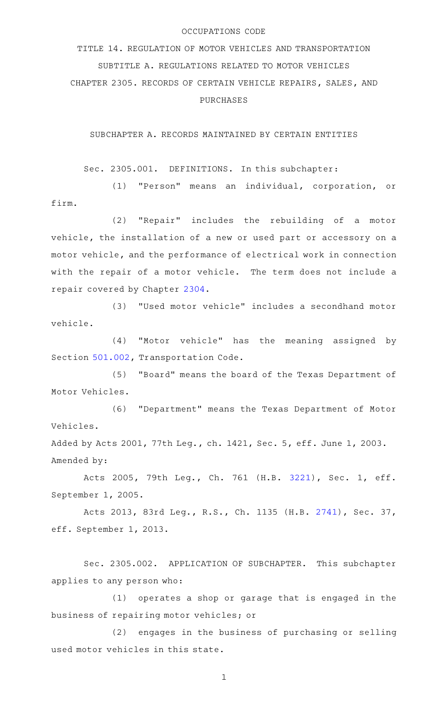## OCCUPATIONS CODE

TITLE 14. REGULATION OF MOTOR VEHICLES AND TRANSPORTATION SUBTITLE A. REGULATIONS RELATED TO MOTOR VEHICLES CHAPTER 2305. RECORDS OF CERTAIN VEHICLE REPAIRS, SALES, AND PURCHASES

SUBCHAPTER A. RECORDS MAINTAINED BY CERTAIN ENTITIES

Sec. 2305.001. DEFINITIONS. In this subchapter:

(1) "Person" means an individual, corporation, or firm.

(2) "Repair" includes the rebuilding of a motor vehicle, the installation of a new or used part or accessory on a motor vehicle, and the performance of electrical work in connection with the repair of a motor vehicle. The term does not include a repair covered by Chapter [2304](http://www.statutes.legis.state.tx.us/GetStatute.aspx?Code=OC&Value=2304).

(3) "Used motor vehicle" includes a secondhand motor vehicle.

(4) "Motor vehicle" has the meaning assigned by Section [501.002,](http://www.statutes.legis.state.tx.us/GetStatute.aspx?Code=TN&Value=501.002) Transportation Code.

(5) "Board" means the board of the Texas Department of Motor Vehicles.

(6) "Department" means the Texas Department of Motor Vehicles.

Added by Acts 2001, 77th Leg., ch. 1421, Sec. 5, eff. June 1, 2003. Amended by:

Acts 2005, 79th Leg., Ch. 761 (H.B. [3221](http://www.legis.state.tx.us/tlodocs/79R/billtext/html/HB03221F.HTM)), Sec. 1, eff. September 1, 2005.

Acts 2013, 83rd Leg., R.S., Ch. 1135 (H.B. [2741](http://www.legis.state.tx.us/tlodocs/83R/billtext/html/HB02741F.HTM)), Sec. 37, eff. September 1, 2013.

Sec. 2305.002. APPLICATION OF SUBCHAPTER. This subchapter applies to any person who:

(1) operates a shop or garage that is engaged in the business of repairing motor vehicles; or

(2) engages in the business of purchasing or selling used motor vehicles in this state.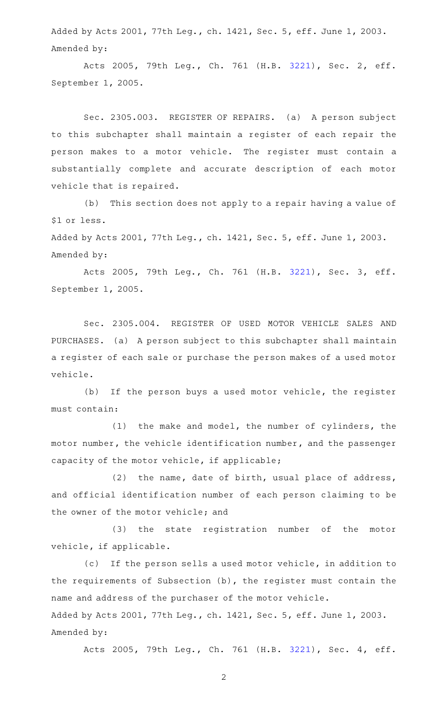Added by Acts 2001, 77th Leg., ch. 1421, Sec. 5, eff. June 1, 2003. Amended by:

Acts 2005, 79th Leg., Ch. 761 (H.B. [3221](http://www.legis.state.tx.us/tlodocs/79R/billtext/html/HB03221F.HTM)), Sec. 2, eff. September 1, 2005.

Sec. 2305.003. REGISTER OF REPAIRS. (a) A person subject to this subchapter shall maintain a register of each repair the person makes to a motor vehicle. The register must contain a substantially complete and accurate description of each motor vehicle that is repaired.

(b) This section does not apply to a repair having a value of \$1 or less.

Added by Acts 2001, 77th Leg., ch. 1421, Sec. 5, eff. June 1, 2003. Amended by:

Acts 2005, 79th Leg., Ch. 761 (H.B. [3221](http://www.legis.state.tx.us/tlodocs/79R/billtext/html/HB03221F.HTM)), Sec. 3, eff. September 1, 2005.

Sec. 2305.004. REGISTER OF USED MOTOR VEHICLE SALES AND PURCHASES. (a) A person subject to this subchapter shall maintain a register of each sale or purchase the person makes of a used motor vehicle.

(b) If the person buys a used motor vehicle, the register must contain:

 $(1)$  the make and model, the number of cylinders, the motor number, the vehicle identification number, and the passenger capacity of the motor vehicle, if applicable;

(2) the name, date of birth, usual place of address, and official identification number of each person claiming to be the owner of the motor vehicle; and

(3) the state registration number of the motor vehicle, if applicable.

(c) If the person sells a used motor vehicle, in addition to the requirements of Subsection (b), the register must contain the name and address of the purchaser of the motor vehicle. Added by Acts 2001, 77th Leg., ch. 1421, Sec. 5, eff. June 1, 2003. Amended by:

Acts 2005, 79th Leg., Ch. 761 (H.B. [3221](http://www.legis.state.tx.us/tlodocs/79R/billtext/html/HB03221F.HTM)), Sec. 4, eff.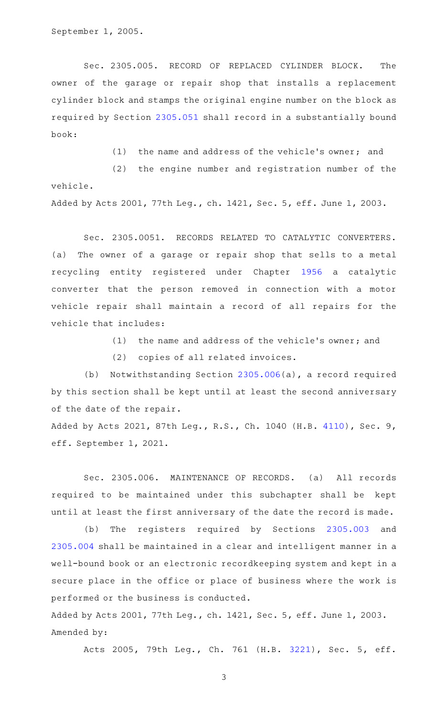September 1, 2005.

Sec. 2305.005. RECORD OF REPLACED CYLINDER BLOCK. The owner of the garage or repair shop that installs a replacement cylinder block and stamps the original engine number on the block as required by Section [2305.051](http://www.statutes.legis.state.tx.us/GetStatute.aspx?Code=OC&Value=2305.051) shall record in a substantially bound book:

(1) the name and address of the vehicle's owner; and

 $(2)$  the engine number and registration number of the vehicle.

Added by Acts 2001, 77th Leg., ch. 1421, Sec. 5, eff. June 1, 2003.

Sec. 2305.0051. RECORDS RELATED TO CATALYTIC CONVERTERS. (a) The owner of a garage or repair shop that sells to a metal recycling entity registered under Chapter [1956](http://www.statutes.legis.state.tx.us/GetStatute.aspx?Code=OC&Value=1956) a catalytic converter that the person removed in connection with a motor vehicle repair shall maintain a record of all repairs for the vehicle that includes:

 $(1)$  the name and address of the vehicle's owner; and

(2) copies of all related invoices.

(b) Notwithstanding Section [2305.006\(](http://www.statutes.legis.state.tx.us/GetStatute.aspx?Code=OC&Value=2305.006)a), a record required by this section shall be kept until at least the second anniversary of the date of the repair.

Added by Acts 2021, 87th Leg., R.S., Ch. 1040 (H.B. [4110\)](http://www.legis.state.tx.us/tlodocs/87R/billtext/html/HB04110F.HTM), Sec. 9, eff. September 1, 2021.

Sec. 2305.006. MAINTENANCE OF RECORDS. (a) All records required to be maintained under this subchapter shall be kept until at least the first anniversary of the date the record is made.

(b) The registers required by Sections [2305.003](http://www.statutes.legis.state.tx.us/GetStatute.aspx?Code=OC&Value=2305.003) and [2305.004](http://www.statutes.legis.state.tx.us/GetStatute.aspx?Code=OC&Value=2305.004) shall be maintained in a clear and intelligent manner in a well-bound book or an electronic recordkeeping system and kept in a secure place in the office or place of business where the work is performed or the business is conducted.

Added by Acts 2001, 77th Leg., ch. 1421, Sec. 5, eff. June 1, 2003. Amended by:

Acts 2005, 79th Leg., Ch. 761 (H.B. [3221](http://www.legis.state.tx.us/tlodocs/79R/billtext/html/HB03221F.HTM)), Sec. 5, eff.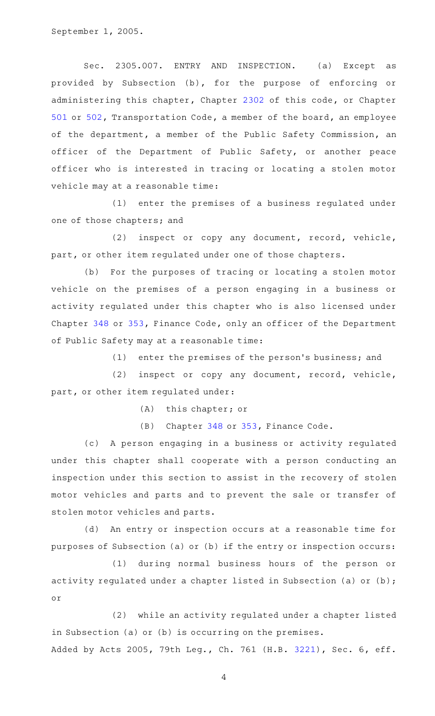September 1, 2005.

Sec. 2305.007. ENTRY AND INSPECTION. (a) Except as provided by Subsection (b), for the purpose of enforcing or administering this chapter, Chapter [2302](http://www.statutes.legis.state.tx.us/GetStatute.aspx?Code=OC&Value=2302) of this code, or Chapter [501](http://www.statutes.legis.state.tx.us/GetStatute.aspx?Code=TN&Value=501) or [502,](http://www.statutes.legis.state.tx.us/GetStatute.aspx?Code=TN&Value=502) Transportation Code, a member of the board, an employee of the department, a member of the Public Safety Commission, an officer of the Department of Public Safety, or another peace officer who is interested in tracing or locating a stolen motor vehicle may at a reasonable time:

(1) enter the premises of a business regulated under one of those chapters; and

(2) inspect or copy any document, record, vehicle, part, or other item regulated under one of those chapters.

(b) For the purposes of tracing or locating a stolen motor vehicle on the premises of a person engaging in a business or activity regulated under this chapter who is also licensed under Chapter [348](http://www.statutes.legis.state.tx.us/GetStatute.aspx?Code=FI&Value=348) or [353,](http://www.statutes.legis.state.tx.us/GetStatute.aspx?Code=FI&Value=353) Finance Code, only an officer of the Department of Public Safety may at a reasonable time:

 $(1)$  enter the premises of the person's business; and

(2) inspect or copy any document, record, vehicle, part, or other item regulated under:

(A) this chapter; or

(B) Chapter [348](http://www.statutes.legis.state.tx.us/GetStatute.aspx?Code=FI&Value=348) or [353,](http://www.statutes.legis.state.tx.us/GetStatute.aspx?Code=FI&Value=353) Finance Code.

(c) A person engaging in a business or activity regulated under this chapter shall cooperate with a person conducting an inspection under this section to assist in the recovery of stolen motor vehicles and parts and to prevent the sale or transfer of stolen motor vehicles and parts.

(d) An entry or inspection occurs at a reasonable time for purposes of Subsection (a) or (b) if the entry or inspection occurs:

(1) during normal business hours of the person or activity regulated under a chapter listed in Subsection (a) or (b); or

(2) while an activity regulated under a chapter listed in Subsection (a) or (b) is occurring on the premises. Added by Acts 2005, 79th Leg., Ch. 761 (H.B. [3221](http://www.legis.state.tx.us/tlodocs/79R/billtext/html/HB03221F.HTM)), Sec. 6, eff.